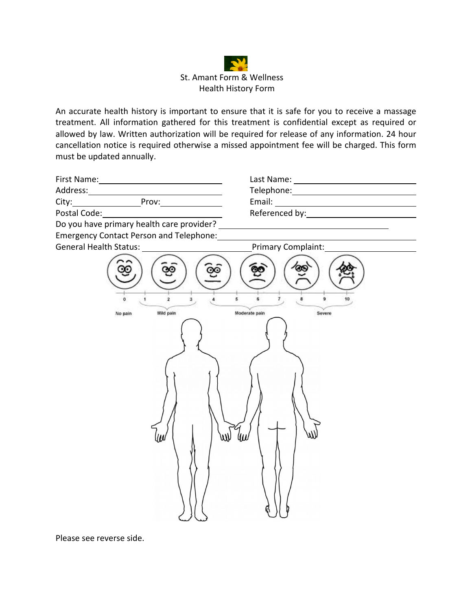

An accurate health history is important to ensure that it is safe for you to receive a massage treatment. All information gathered for this treatment is confidential except as required or allowed by law. Written authorization will be required for release of any information. 24 hour cancellation notice is required otherwise a missed appointment fee will be charged. This form must be updated annually.

| First Name:  |       | Last Name:     |  |
|--------------|-------|----------------|--|
| Address:     |       | Telephone:     |  |
| City:        | Prov: | Email:         |  |
| Postal Code: |       | Referenced by: |  |

Do you have primary health care provider? \_

Emergency Contact Person and Telephone:



Please see reverse side.